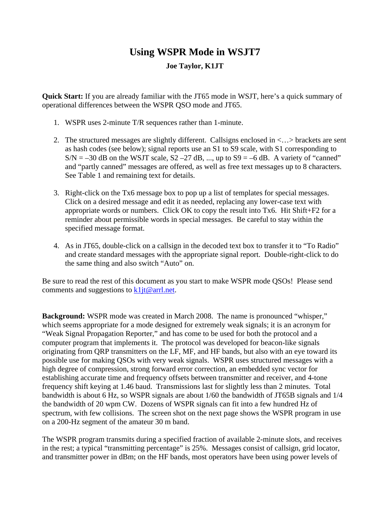## **Using WSPR Mode in WSJT7**

## **Joe Taylor, K1JT**

**Quick Start:** If you are already familiar with the JT65 mode in WSJT, here's a quick summary of operational differences between the WSPR QSO mode and JT65.

- 1. WSPR uses 2-minute T/R sequences rather than 1-minute.
- 2. The structured messages are slightly different. Callsigns enclosed in <…> brackets are sent as hash codes (see below); signal reports use an S1 to S9 scale, with S1 corresponding to  $S/N = -30$  dB on the WSJT scale,  $S2 - 27$  dB, ..., up to  $S9 = -6$  dB. A variety of "canned" and "partly canned" messages are offered, as well as free text messages up to 8 characters. See Table 1 and remaining text for details.
- 3. Right-click on the Tx6 message box to pop up a list of templates for special messages. Click on a desired message and edit it as needed, replacing any lower-case text with appropriate words or numbers. Click OK to copy the result into Tx6. Hit Shift+F2 for a reminder about permissible words in special messages. Be careful to stay within the specified message format.
- 4. As in JT65, double-click on a callsign in the decoded text box to transfer it to "To Radio" and create standard messages with the appropriate signal report. Double-right-click to do the same thing and also switch "Auto" on.

Be sure to read the rest of this document as you start to make WSPR mode QSOs! Please send comments and suggestions to  $k1j \theta \arct{a}$ .

**Background:** WSPR mode was created in March 2008. The name is pronounced "whisper," which seems appropriate for a mode designed for extremely weak signals; it is an acronym for "Weak Signal Propagation Reporter," and has come to be used for both the protocol and a computer program that implements it. The protocol was developed for beacon-like signals originating from QRP transmitters on the LF, MF, and HF bands, but also with an eye toward its possible use for making QSOs with very weak signals. WSPR uses structured messages with a high degree of compression, strong forward error correction, an embedded sync vector for establishing accurate time and frequency offsets between transmitter and receiver, and 4-tone frequency shift keying at 1.46 baud. Transmissions last for slightly less than 2 minutes. Total bandwidth is about 6 Hz, so WSPR signals are about 1/60 the bandwidth of JT65B signals and 1/4 the bandwidth of 20 wpm CW. Dozens of WSPR signals can fit into a few hundred Hz of spectrum, with few collisions. The screen shot on the next page shows the WSPR program in use on a 200-Hz segment of the amateur 30 m band.

The WSPR program transmits during a specified fraction of available 2-minute slots, and receives in the rest; a typical "transmitting percentage" is 25%. Messages consist of callsign, grid locator, and transmitter power in dBm; on the HF bands, most operators have been using power levels of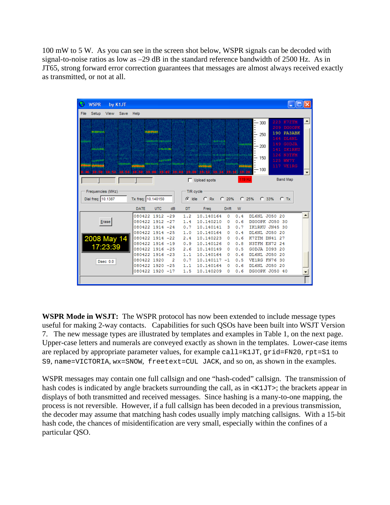100 mW to 5 W. As you can see in the screen shot below, WSPR signals can be decoded with signal-to-noise ratios as low as –29 dB in the standard reference bandwidth of 2500 Hz. As in JT65, strong forward error correction guarantees that messages are almost always received exactly as transmitted, or not at all.



**WSPR Mode in WSJT:** The WSPR protocol has now been extended to include message types useful for making 2-way contacts. Capabilities for such QSOs have been built into WSJT Version 7. The new message types are illustrated by templates and examples in Table 1, on the next page. Upper-case letters and numerals are conveyed exactly as shown in the templates. Lower-case items are replaced by appropriate parameter values, for example call=K1JT, grid=FN20, rpt=S1 to S9, name=VICTORIA, wx=SNOW, freetext=CUL JACK, and so on, as shown in the examples.

WSPR messages may contain one full callsign and one "hash-coded" callsign. The transmission of hash codes is indicated by angle brackets surrounding the call, as in  $\leq$ K1JT $\geq$ ; the brackets appear in displays of both transmitted and received messages. Since hashing is a many-to-one mapping, the process is not reversible. However, if a full callsign has been decoded in a previous transmission, the decoder may assume that matching hash codes usually imply matching callsigns. With a 15-bit hash code, the chances of misidentification are very small, especially within the confines of a particular QSO.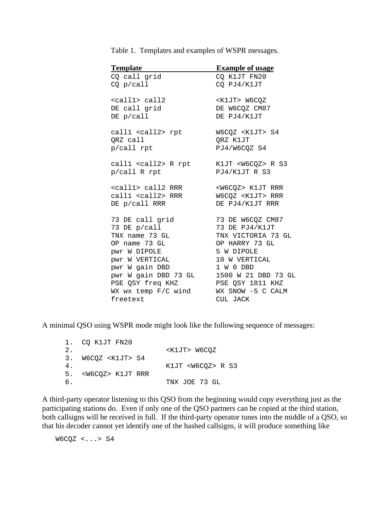| <b>Template</b>             | <b>Example of usage</b>   |
|-----------------------------|---------------------------|
| CQ call grid                | CQ K1JT FN20              |
| CQ p/cal1                   | CQ PJ4/K1JT               |
| <call1> call2</call1>       | <k1jt> W6CQZ</k1jt>       |
| DE call grid                | DE W6CQZ CM87             |
| DE p/cal1                   | DE PJ4/K1JT               |
| call1 <call2> rpt</call2>   | W6CQZ <k1jt> S4</k1jt>    |
| QRZ call                    | QRZ K1JT                  |
| p/call rpt                  | PJ4/W6CQZ S4              |
| call1 <call2> R rpt</call2> | K1JT <w6cqz> R S3</w6cqz> |
| p/call R rpt                | PJ4/K1JT R S3             |
| <call1> call2 RRR</call1>   | <w6cqz> K1JT RRR</w6cqz>  |
| call1 <call2> RRR</call2>   | W6CQZ <k1jt> RRR</k1jt>   |
| DE p/call RRR               | DE PJ4/K1JT RRR           |
| 73 DE call grid             | 73 DE W6CQZ CM87          |
| 73 DE p/call                | 73 DE PJ4/K1JT            |
| TNX name 73 GL              | TNX VICTORIA 73 GL        |
| OP name 73 GL               | OP HARRY 73 GL            |
| pwr W DIPOLE                | 5 W DIPOLE                |
| <b>PWY W VERTICAL</b>       | 10 W VERTICAL             |
| pwr W gain DBD              | 1 W 0 DBD                 |
| pwr W gain DBD 73 GL        | 1500 W 21 DBD 73 GL       |
| PSE QSY freq KHZ            | PSE QSY 1811 KHZ          |
| WX wx temp F/C wind         | WX SNOW -5 C CALM         |
| freetext                    | CUL JACK                  |

Table 1. Templates and examples of WSPR messages.

A minimal QSO using WSPR mode might look like the following sequence of messages:

|    | 1. CO K1JT FN20             |                           |
|----|-----------------------------|---------------------------|
| 2. |                             | <k1jt> W6COZ</k1jt>       |
|    | 3. W6COZ <k1jt> S4</k1jt>   |                           |
| 4. |                             | K1JT <w6coz> R S3</w6coz> |
|    | 5. <w6cqz> K1JT RRR</w6cqz> |                           |
| б. |                             | TNX JOE 73 GL             |

A third-party operator listening to this QSO from the beginning would copy everything just as the participating stations do. Even if only one of the QSO partners can be copied at the third station, both callsigns will be received in full. If the third-party operator tunes into the middle of a QSO, so that his decoder cannot yet identify one of the hashed callsigns, it will produce something like

W6CQZ <...> S4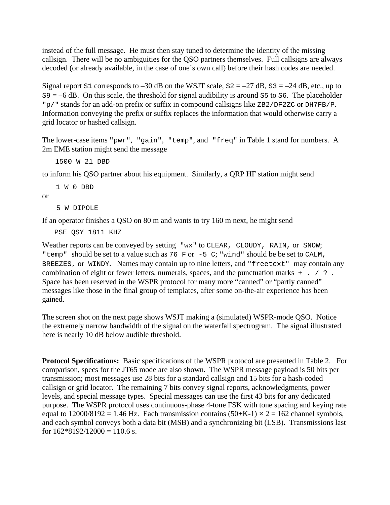instead of the full message. He must then stay tuned to determine the identity of the missing callsign. There will be no ambiguities for the QSO partners themselves. Full callsigns are always decoded (or already available, in the case of one's own call) before their hash codes are needed.

Signal report S1 corresponds to  $-30$  dB on the WSJT scale,  $S2 = -27$  dB,  $S3 = -24$  dB, etc., up to  $S9 = -6$  dB. On this scale, the threshold for signal audibility is around S5 to S6. The placeholder "p/" stands for an add-on prefix or suffix in compound callsigns like ZB2/DF2ZC or DH7FB/P. Information conveying the prefix or suffix replaces the information that would otherwise carry a grid locator or hashed callsign.

The lower-case items "pwr", "gain", "temp", and "freq" in Table 1 stand for numbers. A 2m EME station might send the message

1500 W 21 DBD

to inform his QSO partner about his equipment. Similarly, a QRP HF station might send

1 W 0 DBD

or

5 W DIPOLE

If an operator finishes a QSO on 80 m and wants to try 160 m next, he might send

PSE QSY 1811 KHZ

Weather reports can be conveyed by setting "wx" to CLEAR, CLOUDY, RAIN, or SNOW; "temp" should be set to a value such as 76 F or -5 C; "wind" should be be set to CALM, BREEZES, or WINDY. Names may contain up to nine letters, and "freetext" may contain any combination of eight or fewer letters, numerals, spaces, and the punctuation marks + . / ? . Space has been reserved in the WSPR protocol for many more "canned" or "partly canned" messages like those in the final group of templates, after some on-the-air experience has been gained.

The screen shot on the next page shows WSJT making a (simulated) WSPR-mode QSO. Notice the extremely narrow bandwidth of the signal on the waterfall spectrogram. The signal illustrated here is nearly 10 dB below audible threshold.

**Protocol Specifications:** Basic specifications of the WSPR protocol are presented in Table 2. For comparison, specs for the JT65 mode are also shown. The WSPR message payload is 50 bits per transmission; most messages use 28 bits for a standard callsign and 15 bits for a hash-coded callsign or grid locator. The remaining 7 bits convey signal reports, acknowledgments, power levels, and special message types. Special messages can use the first 43 bits for any dedicated purpose. The WSPR protocol uses continuous-phase 4-tone FSK with tone spacing and keying rate equal to  $12000/8192 = 1.46$  Hz. Each transmission contains  $(50+K-1) \times 2 = 162$  channel symbols, and each symbol conveys both a data bit (MSB) and a synchronizing bit (LSB). Transmissions last for  $162*8192/12000 = 110.6$  s.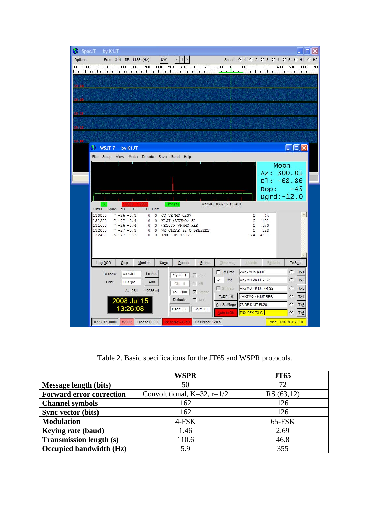| ο                               | SpecJT by K1JT   |                                  |                         |           |                           |                                                                  |                     |                          |                      |                                                                                                                  |
|---------------------------------|------------------|----------------------------------|-------------------------|-----------|---------------------------|------------------------------------------------------------------|---------------------|--------------------------|----------------------|------------------------------------------------------------------------------------------------------------------|
| Options                         |                  | Freq: 314 DF: -1185 (Hz)         |                         | <b>BW</b> |                           |                                                                  |                     |                          |                      | Speed: 6 1 C 2 C 3 C 4 C 5 C H1 C H2                                                                             |
| 300 -1200 -1100 -1000 -900 -800 |                  |                                  |                         |           |                           | -700 -600 -500 -400 -300 -200 -100                               | Ω.                  | 100<br>200               | 300<br>400           | 500<br>600<br>700<br>loodmahaalaa laad aa baabaa baadaa dagaalaa k <del>uu kuu ka</del> adaa dagaalaa dagaalaa d |
|                                 |                  |                                  |                         |           |                           |                                                                  |                     |                          |                      |                                                                                                                  |
|                                 |                  |                                  |                         |           |                           |                                                                  |                     |                          |                      |                                                                                                                  |
|                                 |                  |                                  |                         |           |                           |                                                                  |                     |                          |                      |                                                                                                                  |
|                                 |                  |                                  |                         |           |                           |                                                                  |                     |                          |                      |                                                                                                                  |
|                                 |                  |                                  |                         |           |                           |                                                                  |                     |                          |                      |                                                                                                                  |
|                                 |                  |                                  |                         |           |                           |                                                                  |                     |                          |                      |                                                                                                                  |
|                                 |                  |                                  |                         |           |                           |                                                                  |                     |                          |                      |                                                                                                                  |
|                                 |                  |                                  |                         |           |                           |                                                                  |                     |                          |                      |                                                                                                                  |
|                                 | $W$ WSJT 7       | by K1JT                          |                         |           |                           |                                                                  |                     |                          |                      | $ \Box$ $\times$                                                                                                 |
|                                 | File Setup View  |                                  | Mode Decode Save Band   |           | Help                      |                                                                  |                     |                          |                      |                                                                                                                  |
|                                 |                  |                                  |                         |           |                           |                                                                  |                     |                          | Moon                 |                                                                                                                  |
|                                 |                  |                                  |                         |           |                           |                                                                  |                     |                          | Az: 300.01           |                                                                                                                  |
|                                 |                  |                                  |                         |           |                           |                                                                  |                     |                          | $E1: -68.86$<br>Dop: | $-45$                                                                                                            |
|                                 |                  |                                  |                         |           |                           |                                                                  |                     |                          | $Dgrd:-12.0$         |                                                                                                                  |
|                                 | 1.8              |                                  | 1.0000 1.0000           |           | Time(s)                   |                                                                  | VK7MO_080715_132400 |                          |                      |                                                                                                                  |
|                                 | FileID<br>130800 | Sync dB DT<br>$7 - 26 - 0.3$     | DF Drift<br>$0\quad 0$  |           | CQ VK7MO QE37             |                                                                  |                     | $\circ$                  | 44                   |                                                                                                                  |
|                                 | 131200           | $7 - 27 - 0.4$                   | 0                       |           | 0 K1JI <vk7mo> S1</vk7mo> |                                                                  |                     | 0                        | 101                  |                                                                                                                  |
|                                 | 131600<br>132000 | $7 - 26 - 0.4$<br>$7 - 27 - 0.3$ | $\theta$<br>$0 \quad 0$ | $\Omega$  | <k1jt> VK7MO RRR</k1jt>   | WX CLEAR 22 C BREEZES                                            |                     | 0<br>0                   | 570<br>128           |                                                                                                                  |
|                                 | 132400           | $5 - 27 - 0.3$                   |                         |           | 0 0 TNX JOE 73 GL         |                                                                  |                     | $-24$ 4801               |                      |                                                                                                                  |
|                                 |                  |                                  |                         |           |                           |                                                                  |                     |                          |                      |                                                                                                                  |
|                                 |                  |                                  |                         |           |                           |                                                                  |                     |                          |                      |                                                                                                                  |
|                                 | Log QSO          | Stop                             | Monitor                 | Save      | Decode                    | Erase                                                            | Clear Avg           | Include                  | Exclude              | TxStop                                                                                                           |
|                                 | To radio:        | VK7MO                            | Lookup                  |           | Sync 1                    | $\Gamma$ Zap                                                     | $\Gamma$ Tx First   | <vk7mo> K1JT</vk7mo>     |                      | c.<br>Tx1                                                                                                        |
|                                 | Grid:            | QE37pc                           | Add                     |           | $C$ lip $0$               | N                                                                | S2 Rpt              | VK7MO <k1jt> S2</k1jt>   |                      | c<br>Tx2                                                                                                         |
|                                 |                  | Az: 251                          | 10286 mi                |           | Tol 100                   | V Freeze                                                         | Sh Msg              | VK7MO <k1jt>RS2</k1jt>   |                      | C<br>Tx3                                                                                                         |
|                                 |                  | 2008 Jul 15                      |                         |           | <b>Defaults</b>           | $\Gamma$ AFC                                                     | $TxDF = 0$          | <vk7mo> K1JT RRR</vk7mo> |                      | C<br>Tx4                                                                                                         |
|                                 |                  | 13:26:08                         |                         |           | Dsec 0.0                  | Shift 0.0                                                        | GenStdMsgs          | 73 DE K1JT FN20          |                      | с<br>Tx5                                                                                                         |
|                                 |                  |                                  |                         |           |                           |                                                                  | Auto is ON          | TNX REX 73 GL            |                      | $\epsilon$<br>Tx6                                                                                                |
|                                 |                  |                                  |                         |           |                           | 0.9980 1.0000 WSPR Freeze DF: 0 Rx noise -33 dB TR Period: 120 s |                     |                          |                      | Txing: TNX REX 73 GL                                                                                             |

Table 2. Basic specifications for the JT65 and WSPR protocols.

|                                 | <b>WSPR</b>                     | <b>JT65</b> |
|---------------------------------|---------------------------------|-------------|
| <b>Message length (bits)</b>    | 50                              | 72          |
| <b>Forward error correction</b> | Convolutional, $K=32$ , $r=1/2$ | RS (63,12)  |
| <b>Channel symbols</b>          | 162                             | 126         |
| Sync vector (bits)              | 162                             | 126         |
| <b>Modulation</b>               | 4-FSK                           | 65-FSK      |
| Keying rate (baud)              | 1.46                            | 2.69        |
| <b>Transmission length (s)</b>  | 110.6                           | 46.8        |
| Occupied bandwidth (Hz)         | 5.9                             | 355         |